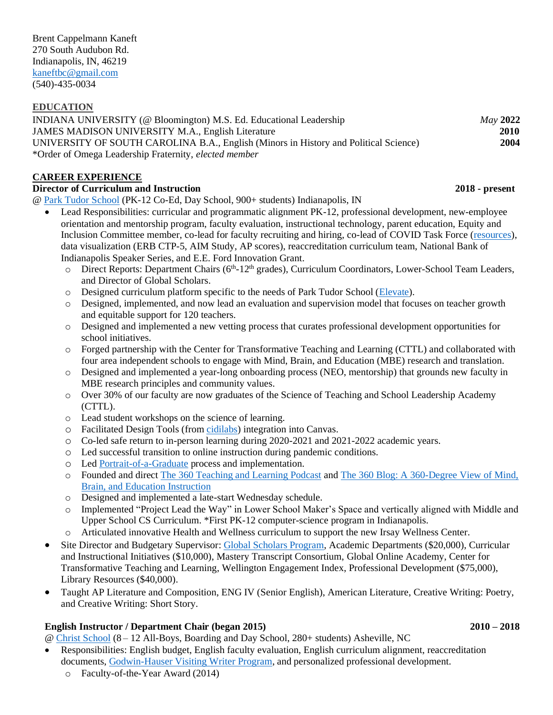### **EDUCATION**

INDIANA UNIVERSITY (@ Bloomington) M.S. Ed. Educational Leadership *May* **2022** JAMES MADISON UNIVERSITY M.A., English Literature **2010** UNIVERSITY OF SOUTH CAROLINA B.A., English (Minors in History and Political Science) **2004** \*Order of Omega Leadership Fraternity, *elected member*

## **CAREER EXPERIENCE**

### **Director of Curriculum and Instruction 2018 - present**

@ [Park Tudor School](https://www.parktudor.org/) (PK-12 Co-Ed, Day School, 900+ students) Indianapolis, IN

- Lead Responsibilities: curricular and programmatic alignment PK-12, professional development, new-employee orientation and mentorship program, faculty evaluation, instructional technology, parent education, Equity and Inclusion Committee member, co-lead for faculty recruiting and hiring, co-lead of COVID Task Force [\(resources\)](https://www.parktudor.org/parents/covid-19), data visualization (ERB CTP-5, AIM Study, AP scores), reaccreditation curriculum team, National Bank of Indianapolis Speaker Series, and E.E. Ford Innovation Grant.
	- $\circ$  Direct Reports: Department Chairs ( $6<sup>th</sup>$ -12<sup>th</sup> grades), Curriculum Coordinators, Lower-School Team Leaders, and Director of Global Scholars.
	- o Designed curriculum platform specific to the needs of Park Tudor School [\(Elevate\)](https://elevate.parktudor.org/).
	- o Designed, implemented, and now lead an evaluation and supervision model that focuses on teacher growth and equitable support for 120 teachers.
	- o Designed and implemented a new vetting process that curates professional development opportunities for school initiatives.
	- o Forged partnership with the Center for Transformative Teaching and Learning (CTTL) and collaborated with four area independent schools to engage with Mind, Brain, and Education (MBE) research and translation.
	- o Designed and implemented a year-long onboarding process (NEO, mentorship) that grounds new faculty in MBE research principles and community values.
	- o Over 30% of our faculty are now graduates of the Science of Teaching and School Leadership Academy (CTTL).
	- o Lead student workshops on the science of learning.
	- o Facilitated Design Tools (fro[m cidilabs\)](https://cidilabs.com/) integration into Canvas.
	- o Co-led safe return to in-person learning during 2020-2021 and 2021-2022 academic years.
	- o Led successful transition to online instruction during pandemic conditions.
	- o Led [Portrait-of-a-Graduate](https://www.parktudor.org/academics/portrait-of-a-graduate) process and implementation.
	- o Founded and direct [The 360 Teaching and Learning Podcast](https://www.parktudor.org/blogs/360?post_category_id=49) and [The 360 Blog: A 360-Degree View of Mind,](https://www.parktudor.org/blogs/360?post_category_id=48)  [Brain, and Education Instruction](https://www.parktudor.org/blogs/360?post_category_id=48)
	- o Designed and implemented a late-start Wednesday schedule.
	- o Implemented "Project Lead the Way" in Lower School Maker's Space and vertically aligned with Middle and Upper School CS Curriculum. \*First PK-12 computer-science program in Indianapolis.
	- o Articulated innovative Health and Wellness curriculum to support the new Irsay Wellness Center.
- Site Director and Budgetary Supervisor[: Global Scholars Program,](https://www.parktudor.org/academics/upper-school/global-scholars) Academic Departments (\$20,000), Curricular and Instructional Initiatives (\$10,000), Mastery Transcript Consortium, Global Online Academy, Center for Transformative Teaching and Learning, Wellington Engagement Index, Professional Development (\$75,000), Library Resources (\$40,000).
- Taught AP Literature and Composition, ENG IV (Senior English), American Literature, Creative Writing: Poetry, and Creative Writing: Short Story.

### **English Instructor / Department Chair (began 2015) 2010 – 2018**

@ [Christ School](https://www.christschool.org/) (8 – 12 All-Boys, Boarding and Day School, 280+ students) Asheville, NC

- Responsibilities: English budget, English faculty evaluation, English curriculum alignment, reaccreditation documents[, Godwin-Hauser Visiting Writer Program,](https://www.christschool.org/academics/curriculum/english/godwin-hauser-visiting-writer-program) and personalized professional development.
	- o Faculty-of-the-Year Award (2014)